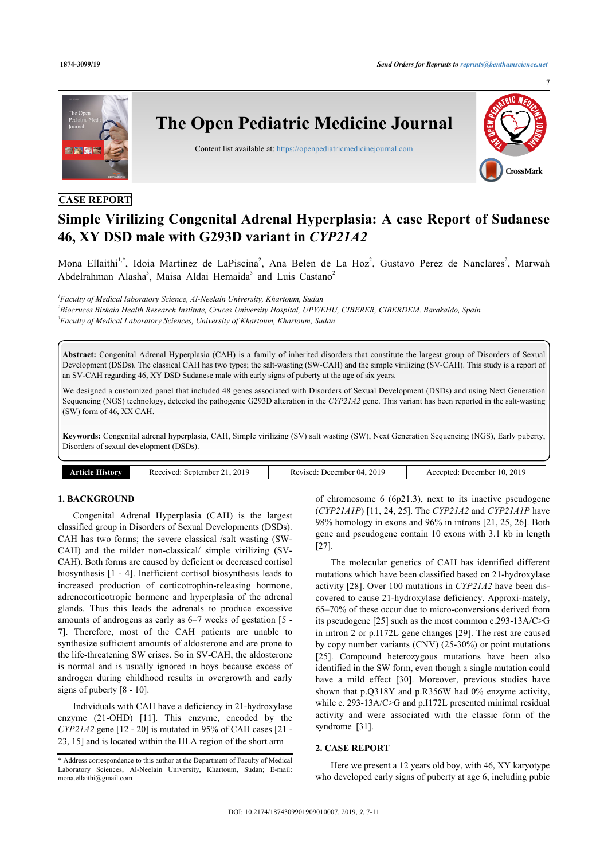

# **Simple Virilizing Congenital Adrenal Hyperplasia: A case Report of Sudanese 46, XY DSD male with G293D variant in** *CYP21A2*

Mona Ellaithi<sup>[1](#page-0-0),[\\*](#page-0-1)</sup>, Idoia Martinez de LaPiscina<sup>[2](#page-0-2)</sup>, Ana Belen de La Hoz<sup>2</sup>, Gustavo Perez de Nanclares<sup>2</sup>, Marwah Abdelrahman Alasha<sup>[3](#page-0-3)</sup>, Maisa Aldai Hemaida<sup>3</sup> and Luis Castano<sup>[2](#page-0-2)</sup>

<span id="page-0-3"></span><span id="page-0-2"></span><span id="page-0-0"></span>*1 Faculty of Medical laboratory Science, Al-Neelain University, Khartoum, Sudan 2 Biocruces Bizkaia Health Research Institute, Cruces University Hospital, UPV/EHU, CIBERER, CIBERDEM. Barakaldo, Spain 3 Faculty of Medical Laboratory Sciences, University of Khartoum, Khartoum, Sudan*

**Abstract:** Congenital Adrenal Hyperplasia (CAH) is a family of inherited disorders that constitute the largest group of Disorders of Sexual Development (DSDs). The classical CAH has two types; the salt-wasting (SW-CAH) and the simple virilizing (SV-CAH). This study is a report of an SV-CAH regarding 46, XY DSD Sudanese male with early signs of puberty at the age of six years.

We designed a customized panel that included 48 genes associated with Disorders of Sexual Development (DSDs) and using Next Generation Sequencing (NGS) technology, detected the pathogenic G293D alteration in the *CYP21A2* gene. This variant has been reported in the salt-wasting (SW) form of 46, XX CAH.

**Keywords:** Congenital adrenal hyperplasia, CAH, Simple virilizing (SV) salt wasting (SW), Next Generation Sequencing (NGS), Early puberty, Disorders of sexual development (DSDs).

| Article History<br>2019<br>2019<br>December 04.<br>Received:<br>. September 1<br>Revised:<br>$\sim$ . | 2019<br>December<br>Accepted<br>TU. |
|-------------------------------------------------------------------------------------------------------|-------------------------------------|
|-------------------------------------------------------------------------------------------------------|-------------------------------------|

# **1. BACKGROUND**

Congenital Adrenal Hyperplasia (CAH) is the largest classified group in Disorders of Sexual Developments (DSDs). CAH has two forms; the severe classical /salt wasting (SW-CAH) and the milder non-classical/ simple virilizing (SV-CAH). Both forms are caused by deficient or decreased cortisol biosynthesis [[1](#page-3-0) - [4](#page-3-1)]. Inefficient cortisol biosynthesis leads to increased production of corticotrophin-releasing hormone, adrenocorticotropic hormone and hyperplasia of the adrenal glands. Thus this leads the adrenals to produce excessive amounts of androgens as early as 6–7 weeks of gestation [[5](#page-3-2) - [7](#page-3-3)]. Therefore, most of the CAH patients are unable to synthesize sufficient amounts of aldosterone and are prone to the life-threatening SW crises. So in SV-CAH, the aldosterone is normal and is usually ignored in boys because excess of androgen during childhood results in overgrowth and early signs of puberty [[8](#page-3-4) - [10\]](#page-3-5).

Individuals with CAH have a deficiency in 21-hydroxylase enzyme (21-OHD)[[11](#page-3-6)]. This enzyme, encoded by the *CYP21A2* gene [\[12](#page-3-7) - [20\]](#page-3-8) is mutated in 95% of CAH cases [[21](#page-3-9) - [23,](#page-3-10) [15](#page-3-11)] and is located within the HLA region of the short arm

of chromosome 6 (6p21.3), next to its inactive pseudogene (*CYP21A1P*) [\[11](#page-3-6), [24](#page-3-12), [25\]](#page-3-13). The *CYP21A2* and *CYP21A1P* have 98% homology in exons and 96% in introns [\[21](#page-3-9), [25](#page-3-13), [26](#page-3-14)]. Both gene and pseudogene contain 10 exons with 3.1 kb in length [[27\]](#page-3-15).

The molecular genetics of CAH has identified different mutations which have been classified based on 21-hydroxylase activity [\[28\]](#page-3-16). Over 100 mutations in *CYP21A2* have been discovered to cause 21-hydroxylase deficiency. Approxi-mately, 65–70% of these occur due to micro-conversions derived from its pseudogene [\[25](#page-3-13)] such as the most common c.293-13A/C>G in intron 2 or p.I172L gene changes [\[29](#page-3-17)]. The rest are caused by copy number variants (CNV) (25-30%) or point mutations [[25](#page-3-13)]. Compound heterozygous mutations have been also identified in the SW form, even though a single mutation could have a mild effect[[30](#page-4-0)]. Moreover, previous studies have shown that p.Q318Y and p.R356W had 0% enzyme activity, while c. 293-13A/C>G and p.I172L presented minimal residual activity and were associated with the classic form of the syndrome[[31\]](#page-4-1).

## **2. CASE REPORT**

Here we present a 12 years old boy, with 46, XY karyotype who developed early signs of puberty at age 6, including pubic

<span id="page-0-1"></span><sup>\*</sup> Address correspondence to this author at the Department of Faculty of Medical Laboratory Sciences, Al-Neelain University, Khartoum, Sudan; E-mail: [mona.ellaithi@gmail.com](mailto:mona.ellaithi@gmail.com)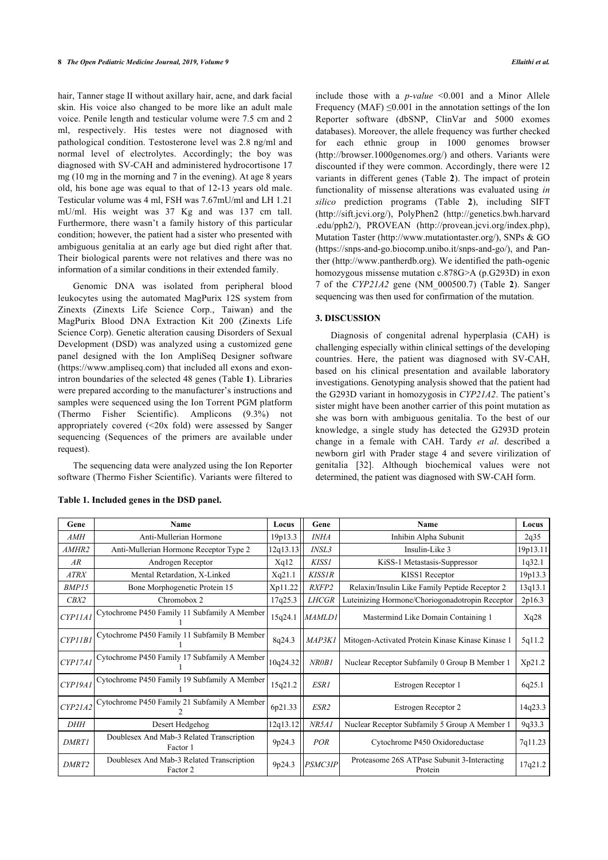hair, Tanner stage II without axillary hair, acne, and dark facial skin. His voice also changed to be more like an adult male voice. Penile length and testicular volume were 7.5 cm and 2 ml, respectively. His testes were not diagnosed with pathological condition. Testosterone level was 2.8 ng/ml and normal level of electrolytes. Accordingly; the boy was diagnosed with SV-CAH and administered hydrocortisone 17 mg (10 mg in the morning and 7 in the evening). At age 8 years old, his bone age was equal to that of 12-13 years old male. Testicular volume was 4 ml, FSH was 7.67mU/ml and LH 1.21 mU/ml. His weight was 37 Kg and was 137 cm tall. Furthermore, there wasn't a family history of this particular condition; however, the patient had a sister who presented with ambiguous genitalia at an early age but died right after that. Their biological parents were not relatives and there was no information of a similar conditions in their extended family.

Genomic DNA was isolated from peripheral blood leukocytes using the automated MagPurix 12S system from Zinexts (Zinexts Life Science Corp., Taiwan) and the MagPurix Blood DNA Extraction Kit 200 (Zinexts Life Science Corp). Genetic alteration causing Disorders of Sexual Development (DSD) was analyzed using a customized gene panel designed with the Ion AmpliSeq Designer software (<https://www.ampliseq.com>) that included all exons and exonintron boundaries of the selected 48 genes (Table **[1](#page-1-0)**). Libraries were prepared according to the manufacturer's instructions and samples were sequenced using the Ion Torrent PGM platform (Thermo Fisher Scientific). Amplicons (9.3%) not appropriately covered (<20x fold) were assessed by Sanger sequencing (Sequences of the primers are available under request).

The sequencing data were analyzed using the Ion Reporter software (Thermo Fisher Scientific). Variants were filtered to

include those with a *p-value* <0.001 and a Minor Allele Frequency (MAF)  $\leq 0.001$  in the annotation settings of the Ion Reporter software (dbSNP, ClinVar and 5000 exomes databases). Moreover, the allele frequency was further checked for each ethnic group in 1000 genomes browser ([http://browser.1000genomes.org/\)](http://browser.1000genomes.org/) and others. Variants were discounted if they were common. Accordingly, there were 12 variants in different genes (Table**2**). The impact of protein functionality of missense alterations was evaluated using *in silico* prediction programs (Table**2**), including SIFT ([http://sift.jcvi.org/\)](http://sift.jcvi.org/), PolyPhen2([http://genetics.bwh.harvard](http://genetics.bwh.harvard.edu/pph2/) [.edu/pph2/](http://genetics.bwh.harvard.edu/pph2/)), PROVEAN [\(http://provean.jcvi.org/index.php](http://provean.jcvi.org/index.php)), Mutation Taster ([http://www.mutationtaster.org/\)](http://www.mutationtaster.org/), SNPs & GO ([https://snps-and-go.biocomp.unibo.it/snps-and-go/\)](https://snps-and-go.biocomp.unibo.it/%20%20%20%20%20%20%20snps-and-go/), and Panther ([http://www.pantherdb.org\)](http://www.pantherdb.org). We identified the path-ogenic homozygous missense mutation c.878G>A (p.G293D) in exon 7 of the *CYP21A2* gene (NM\_000500.7) (Table**2**). Sanger sequencing was then used for confirmation of the mutation.

## **3. DISCUSSION**

Diagnosis of congenital adrenal hyperplasia (CAH) is challenging especially within clinical settings of the developing countries. Here, the patient was diagnosed with SV-CAH, based on his clinical presentation and available laboratory investigations. Genotyping analysis showed that the patient had the G293D variant in homozygosis in *CYP21A2*. The patient's sister might have been another carrier of this point mutation as she was born with ambiguous genitalia. To the best of our knowledge, a single study has detected the G293D protein change in a female with CAH. Tardy *et al*. described a newborn g[irl](#page-4-2) with Prader stage 4 and severe virilization of genitalia [32]. Although biochemical values were not determined, the patient was diagnosed with SW-CAH form.

| Gene              | Name                                                  | Locus    | Gene          | <b>Name</b>                                            | Locus    |
|-------------------|-------------------------------------------------------|----------|---------------|--------------------------------------------------------|----------|
| AMH               | Anti-Mullerian Hormone                                | 19p13.3  | <b>INHA</b>   | Inhibin Alpha Subunit                                  | 2q35     |
| AMHR <sub>2</sub> | Anti-Mullerian Hormone Receptor Type 2                | 12q13.13 | INSL3         | Insulin-Like 3                                         | 19p13.11 |
| AR                | Androgen Receptor                                     | Xq12     | <b>KISS1</b>  | KiSS-1 Metastasis-Suppressor                           | 1q32.1   |
| <b>ATRX</b>       | Mental Retardation, X-Linked                          | Xq21.1   | <b>KISS1R</b> | KISS1 Receptor                                         | 19p13.3  |
| BMP15             | Bone Morphogenetic Protein 15                         | Xp11.22  | RXFP2         | Relaxin/Insulin Like Family Peptide Receptor 2         | 13q13.1  |
| CBX2              | Chromobox 2                                           | 17q25.3  | <b>LHCGR</b>  | Luteinizing Hormone/Choriogonadotropin Receptor        | 2p16.3   |
| <b>CYP11A1</b>    | Cytochrome P450 Family 11 Subfamily A Member          | 15q24.1  | <b>MAMLD1</b> | Mastermind Like Domain Containing 1                    | Xq28     |
| <b>CYP11B1</b>    | Cytochrome P450 Family 11 Subfamily B Member          | 8q24.3   | MAP3KI        | Mitogen-Activated Protein Kinase Kinase Kinase 1       | 5q11.2   |
| CYP17A1           | Cytochrome P450 Family 17 Subfamily A Member          | 10q24.32 | NR0B1         | Nuclear Receptor Subfamily 0 Group B Member 1          | Xp21.2   |
| CYP19A1           | Cytochrome P450 Family 19 Subfamily A Member          | 15q21.2  | ESR1          | Estrogen Receptor 1                                    | 6q25.1   |
| CYP2IA2           | Cytochrome P450 Family 21 Subfamily A Member          | 6p21.33  | ESR2          | Estrogen Receptor 2                                    | 14q23.3  |
| <b>DHH</b>        | Desert Hedgehog                                       | 12q13.12 | NR5A1         | Nuclear Receptor Subfamily 5 Group A Member 1          | 9q33.3   |
| <b>DMRT1</b>      | Doublesex And Mab-3 Related Transcription<br>Factor 1 | 9p24.3   | POR           | Cytochrome P450 Oxidoreductase                         | 7q11.23  |
| DMRT <sub>2</sub> | Doublesex And Mab-3 Related Transcription<br>Factor 2 | 9p24.3   | PSMC3IP       | Proteasome 26S ATPase Subunit 3-Interacting<br>Protein | 17q21.2  |

#### <span id="page-1-0"></span>**Table 1. Included genes in the DSD panel.**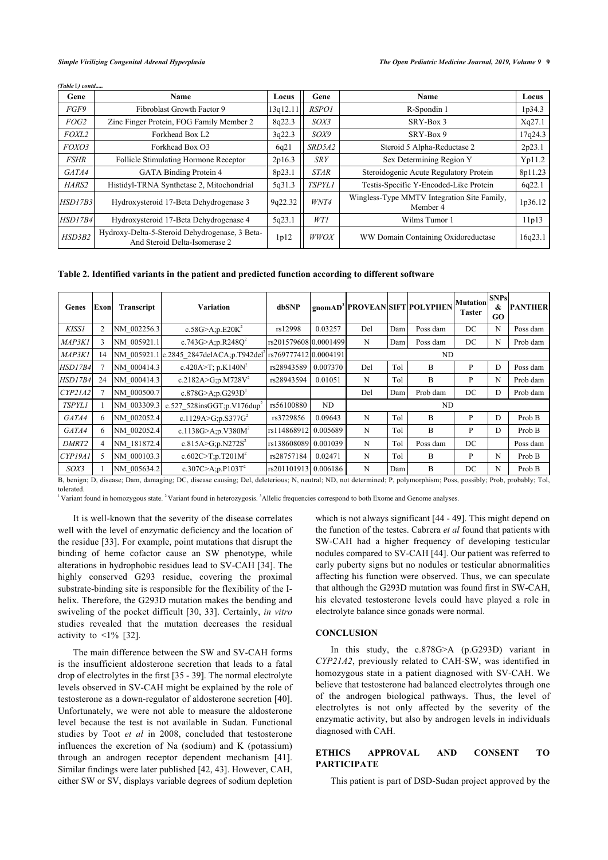*(Table ) contd.....*

| Gene             | Name                                                                            | Locus                                         | Gene          | Name                                                    | Locus   |
|------------------|---------------------------------------------------------------------------------|-----------------------------------------------|---------------|---------------------------------------------------------|---------|
| FGF9             | Fibroblast Growth Factor 9                                                      | 13q12.11                                      | <b>RSPO1</b>  | R-Spondin 1                                             | 1p34.3  |
| FOG <sub>2</sub> | Zinc Finger Protein, FOG Family Member 2                                        |                                               | SOX3          | SRY-Box 3                                               | Xq27.1  |
| FOXL2            | Forkhead Box L2                                                                 | 3q22.3                                        | SOX9          | SRY-Box 9                                               | 17q24.3 |
| FOXO3            | Forkhead Box O3                                                                 | SRD5A2<br>Steroid 5 Alpha-Reductase 2<br>6q21 |               |                                                         | 2p23.1  |
| <b>FSHR</b>      | Follicle Stimulating Hormone Receptor                                           | 2p16.3                                        | <b>SRY</b>    | Sex Determining Region Y                                | Yp11.2  |
| GATA4            | <b>GATA Binding Protein 4</b>                                                   | 8p23.1                                        | <b>STAR</b>   | Steroidogenic Acute Regulatory Protein                  | 8p11.23 |
| HARS2            | Histidyl-TRNA Synthetase 2, Mitochondrial                                       | 5q31.3                                        | <b>TSPYL1</b> | Testis-Specific Y-Encoded-Like Protein                  | 6q22.1  |
| HSD17B3          | Hydroxysteroid 17-Beta Dehydrogenase 3                                          | 9q22.32                                       | WNT4          | Wingless-Type MMTV Integration Site Family,<br>Member 4 | 1p36.12 |
| HSD17B4          | Hydroxysteroid 17-Beta Dehydrogenase 4                                          | 5q23.1                                        | WT1           | Wilms Tumor 1                                           | 11p13   |
| HSD3B2           | Hydroxy-Delta-5-Steroid Dehydrogenase, 3 Beta-<br>And Steroid Delta-Isomerase 2 | 1p12                                          | <b>WWOX</b>   | WW Domain Containing Oxidoreductase                     | 16q23.1 |

<span id="page-2-0"></span>**Table 2. Identified variants in the patient and predicted function according to different software**

| Genes                                                                                                                                                              | Exonl | Transcript  | Variation                                            | dbSNP                  |          |     |     | gnomAD <sup>3</sup> PROVEAN SIFT POLYPHEN | <b>Mutation</b><br>Taster | <b>SNPs</b><br>&<br>GO. | <b>PANTHER</b> |
|--------------------------------------------------------------------------------------------------------------------------------------------------------------------|-------|-------------|------------------------------------------------------|------------------------|----------|-----|-----|-------------------------------------------|---------------------------|-------------------------|----------------|
| <b>KISS1</b>                                                                                                                                                       | 2     | NM 002256.3 | c.58G>A;p.E20K <sup>2</sup>                          | rs12998                | 0.03257  | Del | Dam | Poss dam                                  | DC                        | N                       | Poss dam       |
| MAP3K1                                                                                                                                                             | 3     | NM 005921.1 | c.743G>A;p.R248O <sup>2</sup>                        | rs20157960810.00014991 |          | N   | Dam | Poss dam                                  | DC                        | N                       | Prob dam       |
| MAP3K1                                                                                                                                                             | 14    |             | NM 005921.1 c.2845 2847delACA;p.T942del <sup>2</sup> | rs76977741210.0004191  |          | ND  |     |                                           |                           |                         |                |
| <b>HSD17B4</b>                                                                                                                                                     | 7     | NM 000414.3 | c.420A>T; p.K140N <sup>2</sup>                       | rs28943589             | 0.007370 | Del | Tol | B                                         | P                         | D                       | Poss dam       |
| <b>HSD17B4</b>                                                                                                                                                     | 24    | NM 000414.3 | c.2182A>G;p.M728 $V^2$                               | rs28943594             | 0.01051  | N   | Tol | B                                         | P                         | N                       | Prob dam       |
| CYP2IA2                                                                                                                                                            |       | NM 000500.7 | c.878G>A;p.G293D <sup>1</sup>                        |                        |          | Del | Dam | Prob dam                                  | DC                        | D                       | Prob dam       |
| <b>TSPYL1</b>                                                                                                                                                      |       | NM 003309.3 | c.527 528insGGT;p.V176dup <sup>2</sup>               | rs56100880             | ND       | ND  |     |                                           |                           |                         |                |
| GATA4                                                                                                                                                              | 6     | NM 002052.4 | c.1129A>G;p.S377G <sup>2</sup>                       | rs3729856              | 0.09643  | N   | Tol | B                                         | P                         | D                       | Prob B         |
| GATA4                                                                                                                                                              | 6     | NM 002052.4 | c.1138G>A;p.V380 $M^2$                               | rs114868912            | 0.005689 | N   | Tol | B                                         | P                         | D                       | Prob B         |
| DMRT <sub>2</sub>                                                                                                                                                  | 4     | NM 181872.4 | c.815A>G;p.N272S <sup>2</sup>                        | rs138608089            | 0.001039 | N   | Tol | Poss dam                                  | DC                        |                         | Poss dam       |
| CYP19A1                                                                                                                                                            | 5.    | NM 000103.3 | c.602C>T;p.T201M <sup>2</sup>                        | rs28757184             | 0.02471  | N   | Tol | B                                         | P                         | N                       | Prob B         |
| SOX3                                                                                                                                                               |       | NM 005634.2 | c.307C>A;p.P103T <sup>2</sup>                        | rs201101913            | 0.006186 | N   | Dam | B                                         | DC                        | N                       | Prob B         |
| B, benign; D, disease; Dam, damaging; DC, disease causing; Del, deleterious; N, neutral; ND, not determined; P, polymorphism; Poss, possibly; Prob, probably; Tol, |       |             |                                                      |                        |          |     |     |                                           |                           |                         |                |

tolerated.

Variant found in homozygous state. <sup>2</sup>Variant found in heterozygosis. <sup>3</sup>Allelic frequencies correspond to both Exome and Genome analyses.

It is well-known that the severity of the disease correlates well with the level of enzymatic deficiency and the location of the residue [[33\]](#page-4-3). For example, point mutations that disrupt the binding of heme cofactor cause an SW phenotype, while alterations in hydrophobic residues lead to SV-CAH [\[34](#page-4-4)]. The highly conserved G293 residue, covering the proximal substrate-binding site is responsible for the flexibility of the Ihelix. Therefore, the G293D mutation makes the bending and swiveling of the pocket difficult [[30,](#page-4-0) [33\]](#page-4-3). Certainly, *in vitro* studies revealed that the mutation decreases the residual activityto  $\leq 1\%$  [[32\]](#page-4-2).

The main difference between the SW and SV-CAH forms is the insufficient aldosterone secretion that leads to a fatal drop of electrolytes in the first [\[35](#page-4-5) - [39\]](#page-4-6). The normal electrolyte levels observed in SV-CAH might be explained by the role of testosterone as a down-regulator of aldosterone secretion [[40\]](#page-4-7). Unfortunately, we were not able to measure the aldosterone level because the test is not available in Sudan. Functional studies by Toot *et al* in 2008, concluded that testosterone influences the excretion of Na (sodium) and K (potassium) through an androgen receptor dependent mechanism[[41\]](#page-4-1). Similar findings were later published [[42,](#page-4-8) [43\]](#page-4-9). However, CAH, either SW or SV, displays variable degrees of sodium depletion

which is not always significant [\[44](#page-4-10) - [49\]](#page-4-11). This might depend on the function of the testes. Cabrera *et al* found that patients with SW-CAH had a higher frequency of developing testicular nodules compared to SV-CAH [\[44](#page-4-10)]. Our patient was referred to early puberty signs but no nodules or testicular abnormalities affecting his function were observed. Thus, we can speculate that although the G293D mutation was found first in SW-CAH, his elevated testosterone levels could have played a role in electrolyte balance since gonads were normal.

#### **CONCLUSION**

In this study, the c.878G>A (p.G293D) variant in *CYP21A2*, previously related to CAH-SW, was identified in homozygous state in a patient diagnosed with SV-CAH. We believe that testosterone had balanced electrolytes through one of the androgen biological pathways. Thus, the level of electrolytes is not only affected by the severity of the enzymatic activity, but also by androgen levels in individuals diagnosed with CAH.

# **ETHICS APPROVAL AND CONSENT TO PARTICIPATE**

This patient is part of DSD-Sudan project approved by the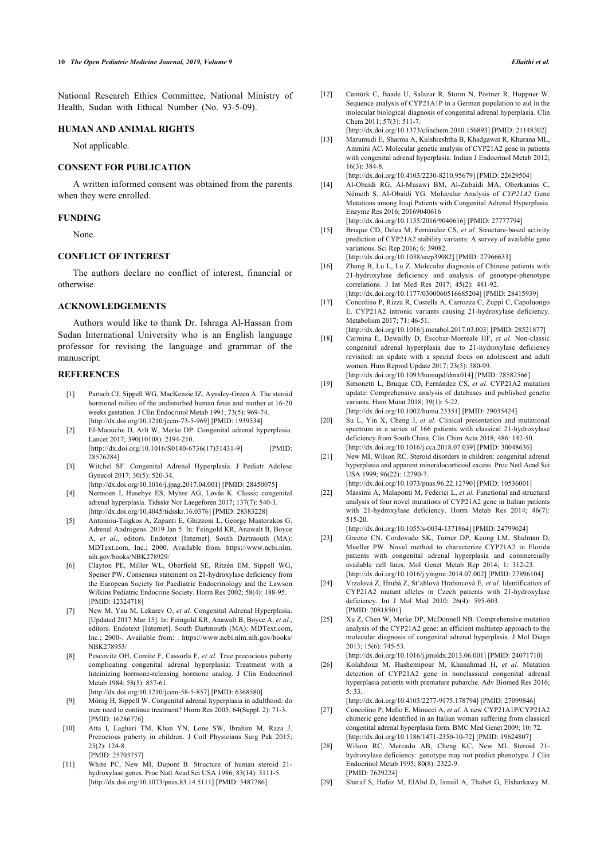<span id="page-3-7"></span>National Research Ethics Committee, National Ministry of Health, Sudan with Ethical Number (No. 93-5-09).

#### **HUMAN AND ANIMAL RIGHTS**

Not applicable.

#### **CONSENT FOR PUBLICATION**

A written informed consent was obtained from the parents when they were enrolled.

## <span id="page-3-11"></span>**FUNDING**

None.

# **CONFLICT OF INTEREST**

The authors declare no conflict of interest, financial or otherwise.

#### **ACKNOWLEDGEMENTS**

Authors would like to thank Dr. Ishraga Al-Hassan from Sudan International University who is an English language professor for revising the language and grammar of the manuscript.

#### <span id="page-3-0"></span>**REFERENCES**

- [1] Partsch CJ, Sippell WG, MacKenzie IZ, Aynsley-Green A. The steroid hormonal milieu of the undisturbed human fetus and mother at 16-20 weeks gestation. J Clin Endocrinol Metab 1991; 73(5): 969-74. [\[http://dx.doi.org/10.1210/jcem-73-5-969\]](http://dx.doi.org/10.1210/jcem-73-5-969) [PMID: [1939534\]](http://www.ncbi.nlm.nih.gov/pubmed/1939534)
- <span id="page-3-8"></span>[2] El-Maouche D, Arlt W, Merke DP. Congenital adrenal hyperplasia. Lancet 2017; 390(10108): 2194-210. [\[http://dx.doi.org/10.1016/S0140-6736\(17\)31431-9](http://dx.doi.org/10.1016/S0140-6736(17)31431-9)] [PMID:
- <span id="page-3-9"></span>[28576284\]](http://www.ncbi.nlm.nih.gov/pubmed/28576284) [3] Witchel SF. Congenital Adrenal Hyperplasia. J Pediatr Adolesc
- Gynecol 2017; 30(5): 520-34. [\[http://dx.doi.org/10.1016/j.jpag.2017.04.001\]](http://dx.doi.org/10.1016/j.jpag.2017.04.001) [PMID: [28450075](http://www.ncbi.nlm.nih.gov/pubmed/28450075)]
- <span id="page-3-1"></span>[4] Nermoen I, Husebye ES, Myhre AG, Løvås K. Classic congenital adrenal hyperplasia. Tidsskr Nor Laegeforen 2017; 137(7): 540-3. [\[http://dx.doi.org/10.4045/tidsskr.16.0376](http://dx.doi.org/10.4045/tidsskr.16.0376)] [PMID: [28383228\]](http://www.ncbi.nlm.nih.gov/pubmed/28383228)
- <span id="page-3-10"></span><span id="page-3-2"></span>[5] Antoniou-Tsigkos A, Zapanti E, Ghizzoni L, George Mastorakos G. Adrenal Androgens. 2019 Jan 5. In: Feingold KR, Anawalt B, Boyce A, *et al*., editors. Endotext [Internet]. South Dartmouth (MA): MDText.com, Inc.; 2000. Available from. [https://www.ncbi.nlm.](https://www.ncbi.nlm.nih.gov/books/NBK278929/) [nih.gov/books/NBK278929/](https://www.ncbi.nlm.nih.gov/books/NBK278929/)
- <span id="page-3-12"></span>[6] Clayton PE, Miller WL, Oberfield SE, Ritzén EM, Sippell WG, Speiser PW. Consensus statement on 21-hydroxylase deficiency from the European Society for Paediatric Endocrinology and the Lawson Wilkins Pediatric Endocrine Society. Horm Res 2002; 58(4): 188-95. [PMID: [12324718](http://www.ncbi.nlm.nih.gov/pubmed/12324718)]
- <span id="page-3-13"></span><span id="page-3-3"></span>[7] New M, Yau M, Lekarev O, *et al.* Congenital Adrenal Hyperplasia. [Updated 2017 Mar 15]. In: Feingold KR, Anawalt B, Boyce A, *et al*., editors. Endotext [Internet]. South Dartmouth (MA): MDText.com, Inc.; 2000-. Available from: . [https://www.ncbi.nlm.nih.gov/books/](https://www.ncbi.nlm.nih.gov/books/NBK278953/) [NBK278953/](https://www.ncbi.nlm.nih.gov/books/NBK278953/)
- <span id="page-3-14"></span><span id="page-3-4"></span>[8] Pescovitz OH, Comite F, Cassorla F, *et al.* True precocious puberty complicating congenital adrenal hyperplasia: Treatment with a luteinizing hormone-releasing hormone analog. J Clin Endocrinol Metab 1984: 58(5): 857-61. [\[http://dx.doi.org/10.1210/jcem-58-5-857\]](http://dx.doi.org/10.1210/jcem-58-5-857) [PMID: [6368580\]](http://www.ncbi.nlm.nih.gov/pubmed/6368580)
- [9] Mönig H, Sippell W. Congenital adrenal hyperplasia in adulthood: do men need to continue treatment? Horm Res 2005; 64(Suppl. 2): 71-3.
- <span id="page-3-15"></span><span id="page-3-5"></span>[PMID: [16286776](http://www.ncbi.nlm.nih.gov/pubmed/16286776)] [10] Atta I, Laghari TM, Khan YN, Lone SW, Ibrahim M, Raza J. Precocious puberty in children. J Coll Physicians Surg Pak 2015; 25(2): 124-8.
- <span id="page-3-17"></span><span id="page-3-16"></span><span id="page-3-6"></span>[PMID: [25703757](http://www.ncbi.nlm.nih.gov/pubmed/25703757)] [11] White PC, New MI, Dupont B. Structure of human steroid 21 hydroxylase genes. Proc Natl Acad Sci USA 1986; 83(14): 5111-5. [\[http://dx.doi.org/10.1073/pnas.83.14.5111](http://dx.doi.org/10.1073/pnas.83.14.5111)] [PMID: [3487786](http://www.ncbi.nlm.nih.gov/pubmed/3487786)]

[12] Cantürk C, Baade U, Salazar R, Storm N, Pörtner R, Höppner W. Sequence analysis of CYP21A1P in a German population to aid in the molecular biological diagnosis of congenital adrenal hyperplasia. Clin  $Chem 2011: 57(3): 511-7$ 

[\[http://dx.doi.org/10.1373/clinchem.2010.156893\]](http://dx.doi.org/10.1373/clinchem.2010.156893) [PMID: [21148302](http://www.ncbi.nlm.nih.gov/pubmed/21148302)] [13] Marumudi E, Sharma A, Kulshreshtha B, Khadgawat R, Khurana ML,

- Ammini AC. Molecular genetic analysis of CYP21A2 gene in patients with congenital adrenal hyperplasia. Indian J Endocrinol Metab 2012; 16(3): 384-8.
	- [\[http://dx.doi.org/10.4103/2230-8210.95679](http://dx.doi.org/10.4103/2230-8210.95679)] [PMID: [22629504\]](http://www.ncbi.nlm.nih.gov/pubmed/22629504)
- [14] Al-Obaidi RG, Al-Musawi BM, Al-Zubaidi MA, Oberkanins C, Németh S, Al-Obaidi YG. Molecular Analysis of *CYP21A2* Gene Mutations among Iraqi Patients with Congenital Adrenal Hyperplasia. Enzyme Res 2016; 20169040616
- [\[http://dx.doi.org/10.1155/2016/9040616\]](http://dx.doi.org/10.1155/2016/9040616) [PMID: [27777794\]](http://www.ncbi.nlm.nih.gov/pubmed/27777794) [15] Bruque CD, Delea M, Fernández CS, *et al.* Structure-based activity
- prediction of CYP21A2 stability variants: A survey of available gene variations. Sci Rep 2016; 6: 39082.
	- [\[http://dx.doi.org/10.1038/srep39082\]](http://dx.doi.org/10.1038/srep39082) [PMID: [27966633](http://www.ncbi.nlm.nih.gov/pubmed/27966633)]
- [16] Zhang B, Lu L, Lu Z. Molecular diagnosis of Chinese patients with 21-hydroxylase deficiency and analysis of genotype-phenotype correlations. J Int Med Res 2017; 45(2): 481-92. [\[http://dx.doi.org/10.1177/0300060516685204](http://dx.doi.org/10.1177/0300060516685204)] [PMID: [28415939](http://www.ncbi.nlm.nih.gov/pubmed/28415939)]
- [17] Concolino P, Rizza R, Costella A, Carrozza C, Zuppi C, Capoluongo E. CYP21A2 intronic variants causing 21-hydroxylase deficiency. Metabolism 2017; 71: 46-51.
- [\[http://dx.doi.org/10.1016/j.metabol.2017.03.003](http://dx.doi.org/10.1016/j.metabol.2017.03.003)] [PMID: [28521877](http://www.ncbi.nlm.nih.gov/pubmed/28521877)] [18] Carmina E, Dewailly D, Escobar-Morreale HF, *et al.* Non-classic
- congenital adrenal hyperplasia due to 21-hydroxylase deficiency revisited: an update with a special focus on adolescent and adult women. Hum Reprod Update 2017; 23(5): 580-99. [\[http://dx.doi.org/10.1093/humupd/dmx014](http://dx.doi.org/10.1093/humupd/dmx014)] [PMID: [28582566\]](http://www.ncbi.nlm.nih.gov/pubmed/28582566)
- [19] Simonetti L, Bruque CD, Fernández CS, *et al.* CYP21A2 mutation update: Comprehensive analysis of databases and published genetic variants. Hum Mutat 2018; 39(1): 5-22. [\[http://dx.doi.org/10.1002/humu.23351\]](http://dx.doi.org/10.1002/humu.23351) [PMID: [29035424](http://www.ncbi.nlm.nih.gov/pubmed/29035424)]
- [20] Su L, Yin X, Cheng J, *et al.* Clinical presentation and mutational spectrum in a series of 166 patients with classical 21-hydroxylase deficiency from South China. Clin Chim Acta 2018; 486: 142-50. [\[http://dx.doi.org/10.1016/j.cca.2018.07.039](http://dx.doi.org/10.1016/j.cca.2018.07.039)] [PMID: [30048636\]](http://www.ncbi.nlm.nih.gov/pubmed/30048636)
- [21] New MI, Wilson RC. Steroid disorders in children: congenital adrenal hyperplasia and apparent mineralocorticoid excess. Proc Natl Acad Sci USA 1999; 96(22): 12790-7.
- [\[http://dx.doi.org/10.1073/pnas.96.22.12790](http://dx.doi.org/10.1073/pnas.96.22.12790)] [PMID: [10536001\]](http://www.ncbi.nlm.nih.gov/pubmed/10536001) [22] Massimi A, Malaponti M, Federici L, et al. Functional and structural analysis of four novel mutations of CYP21A2 gene in Italian patients with 21-hydroxylase deficiency. Horm Metab Res 2014; 46(7): 515-20.

[\[http://dx.doi.org/10.1055/s-0034-1371864](http://dx.doi.org/10.1055/s-0034-1371864)] [PMID: [24799024\]](http://www.ncbi.nlm.nih.gov/pubmed/24799024)

- [23] Greene CN, Cordovado SK, Turner DP, Keong LM, Shulman D, Mueller PW. Novel method to characterize CYP21A2 in Florida patients with congenital adrenal hyperplasia and commercially available cell lines. Mol Genet Metab Rep 2014; 1: 312-23. [\[http://dx.doi.org/10.1016/j.ymgmr.2014.07.002](http://dx.doi.org/10.1016/j.ymgmr.2014.07.002)] [PMID: [27896104\]](http://www.ncbi.nlm.nih.gov/pubmed/27896104)
- [24] Vrzalová Z, Hrubá Z, St'ahlová Hrabincová E, *et al.* Identification of CYP21A2 mutant alleles in Czech patients with 21-hydroxylase deficiency. Int J Mol Med 2010; 26(4): 595-603. [PMID: [20818501\]](http://www.ncbi.nlm.nih.gov/pubmed/20818501)
- [25] Xu Z, Chen W, Merke DP, McDonnell NB. Comprehensive mutation analysis of the CYP21A2 gene: an efficient multistep approach to the molecular diagnosis of congenital adrenal hyperplasia. J Mol Diagn 2013; 15(6): 745-53.

[\[http://dx.doi.org/10.1016/j.jmoldx.2013.06.001\]](http://dx.doi.org/10.1016/j.jmoldx.2013.06.001) [PMID: [24071710](http://www.ncbi.nlm.nih.gov/pubmed/24071710)]

[26] Kolahdouz M, Hashemipour M, Khanahmad H, *et al.* Mutation detection of CYP21A2 gene in nonclassical congenital adrenal hyperplasia patients with premature pubarche. Adv Biomed Res 2016; 5: 33.

[\[http://dx.doi.org/10.4103/2277-9175.178794\]](http://dx.doi.org/10.4103/2277-9175.178794) [PMID: [27099846](http://www.ncbi.nlm.nih.gov/pubmed/27099846)]

- [27] Concolino P, Mello E, Minucci A, *et al.* A new CYP21A1P/CYP21A2 chimeric gene identified in an Italian woman suffering from classical congenital adrenal hyperplasia form. BMC Med Genet 2009; 10: 72. [\[http://dx.doi.org/10.1186/1471-2350-10-72](http://dx.doi.org/10.1186/1471-2350-10-72)] [PMID: [19624807](http://www.ncbi.nlm.nih.gov/pubmed/19624807)]
- [28] Wilson RC, Mercado AB, Cheng KC, New MI, Steroid 21hydroxylase deficiency: genotype may not predict phenotype. J Clin Endocrinol Metab 1995; 80(8): 2322-9. [PMID: [7629224](http://www.ncbi.nlm.nih.gov/pubmed/7629224)]
- [29] Sharaf S, Hafez M, ElAbd D, Ismail A, Thabet G, Elsharkawy M.